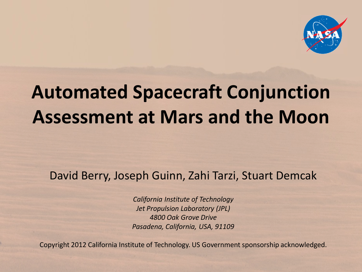

# **Automated Spacecraft Conjunction Assessment at Mars and the Moon**

#### David Berry, Joseph Guinn, Zahi Tarzi, Stuart Demcak

*California Institute of Technology Jet Propulsion Laboratory (JPL) 4800 Oak Grove Drive Pasadena, California, USA, 91109*

Copyright 2012 California Institute of Technology. US Government sponsorship acknowledged.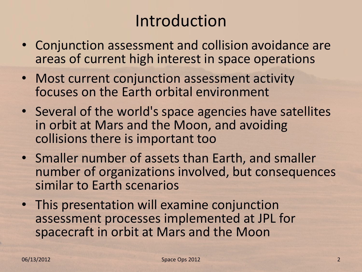# Introduction

- Conjunction assessment and collision avoidance are areas of current high interest in space operations
- Most current conjunction assessment activity focuses on the Earth orbital environment
- Several of the world's space agencies have satellites in orbit at Mars and the Moon, and avoiding collisions there is important too
- Smaller number of assets than Earth, and smaller number of organizations involved, but consequences similar to Earth scenarios
- This presentation will examine conjunction assessment processes implemented at JPL for spacecraft in orbit at Mars and the Moon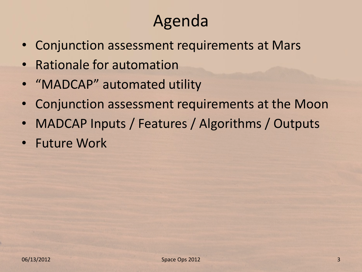# Agenda

- Conjunction assessment requirements at Mars
- Rationale for automation
- "MADCAP" automated utility
- Conjunction assessment requirements at the Moon
- MADCAP Inputs / Features / Algorithms / Outputs
- Future Work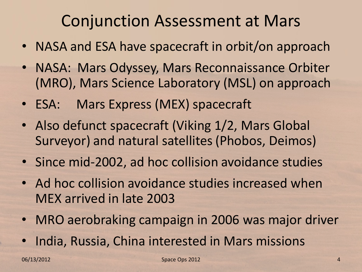# Conjunction Assessment at Mars

- NASA and ESA have spacecraft in orbit/on approach
- NASA: Mars Odyssey, Mars Reconnaissance Orbiter (MRO), Mars Science Laboratory (MSL) on approach
- ESA: Mars Express (MEX) spacecraft
- Also defunct spacecraft (Viking 1/2, Mars Global Surveyor) and natural satellites (Phobos, Deimos)
- Since mid-2002, ad hoc collision avoidance studies
- Ad hoc collision avoidance studies increased when MEX arrived in late 2003
- MRO aerobraking campaign in 2006 was major driver
- India, Russia, China interested in Mars missions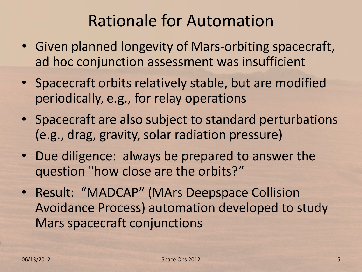# Rationale for Automation

- Given planned longevity of Mars-orbiting spacecraft, ad hoc conjunction assessment was insufficient
- Spacecraft orbits relatively stable, but are modified periodically, e.g., for relay operations
- Spacecraft are also subject to standard perturbations (e.g., drag, gravity, solar radiation pressure)
- Due diligence: always be prepared to answer the question "how close are the orbits?"
- Result: "MADCAP" (MArs Deepspace Collision Avoidance Process) automation developed to study Mars spacecraft conjunctions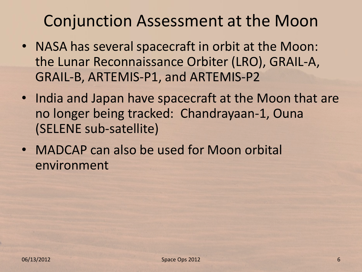### Conjunction Assessment at the Moon

- NASA has several spacecraft in orbit at the Moon: the Lunar Reconnaissance Orbiter (LRO), GRAIL-A, GRAIL-B, ARTEMIS-P1, and ARTEMIS-P2
- India and Japan have spacecraft at the Moon that are no longer being tracked: Chandrayaan-1, Ouna (SELENE sub-satellite)
- MADCAP can also be used for Moon orbital environment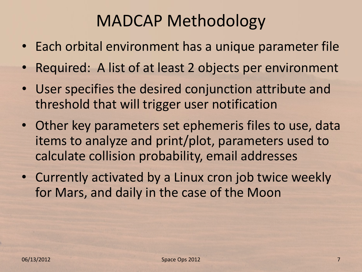# MADCAP Methodology

- Each orbital environment has a unique parameter file
- Required: A list of at least 2 objects per environment
- User specifies the desired conjunction attribute and threshold that will trigger user notification
- Other key parameters set ephemeris files to use, data items to analyze and print/plot, parameters used to calculate collision probability, email addresses
- Currently activated by a Linux cron job twice weekly for Mars, and daily in the case of the Moon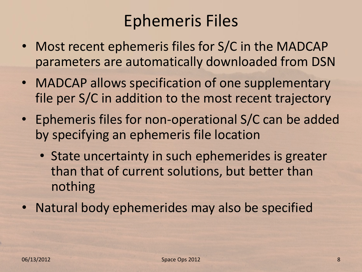# Ephemeris Files

- Most recent ephemeris files for S/C in the MADCAP parameters are automatically downloaded from DSN
- MADCAP allows specification of one supplementary file per S/C in addition to the most recent trajectory
- Ephemeris files for non-operational S/C can be added by specifying an ephemeris file location
	- State uncertainty in such ephemerides is greater than that of current solutions, but better than nothing
- Natural body ephemerides may also be specified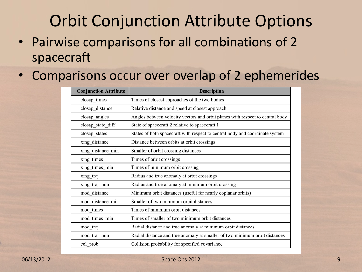# Orbit Conjunction Attribute Options

• Pairwise comparisons for all combinations of 2 spacecraft

#### • Comparisons occur over overlap of 2 ephemerides

| <b>Conjunction Attribute</b> | <b>Description</b>                                                            |
|------------------------------|-------------------------------------------------------------------------------|
| closap_times                 | Times of closest approaches of the two bodies                                 |
| closap distance              | Relative distance and speed at closest approach                               |
| closap angles                | Angles between velocity vectors and orbit planes with respect to central body |
| closap_state_diff            | State of spacecraft 2 relative to spacecraft 1                                |
| closap_states                | States of both spacecraft with respect to central body and coordinate system  |
| xing distance                | Distance between orbits at orbit crossings                                    |
| xing_distance_min            | Smaller of orbit crossing distances                                           |
| xing times                   | Times of orbit crossings                                                      |
| xing_times_min               | Times of minimum orbit crossing                                               |
| xing traj                    | Radius and true anomaly at orbit crossings                                    |
| xing traj min                | Radius and true anomaly at minimum orbit crossing                             |
| mod distance                 | Minimum orbit distances (useful for nearly coplanar orbits)                   |
| mod distance min             | Smaller of two minimum orbit distances                                        |
| mod times                    | Times of minimum orbit distances                                              |
| mod times min                | Times of smaller of two minimum orbit distances                               |
| mod traj                     | Radial distance and true anomaly at minimum orbit distances                   |
| mod traj min                 | Radial distance and true anomaly at smaller of two minimum orbit distances    |
| col_prob                     | Collision probability for specified covariance                                |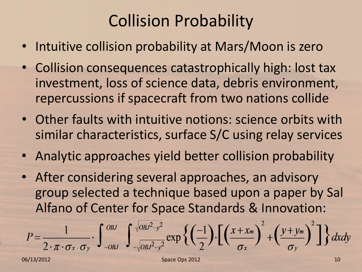# Collision Probability

- Intuitive collision probability at Mars/Moon is zero
- Collision consequences catastrophically high: lost tax investment, loss of science data, debris environment, repercussions if spacecraft from two nations collide
- Other faults with intuitive notions: science orbits with similar characteristics, surface S/C using relay services
- Analytic approaches yield better collision probability
- After considering several approaches, an advisory group selected a technique based upon a paper by Sal Alfano of Center for Space Standards & Innovation:

$$
P = \frac{1}{2 \cdot \pi \cdot \sigma_x \cdot \sigma_y} \cdot \int_{-\frac{\partial B}{\partial y}}^{\frac{\partial B}{\partial y} - \sqrt{\frac{\partial B}{\partial y}^2 - y^2}} \exp \left\{ \left( \frac{-1}{2} \right) \cdot \left[ \left( \frac{x + x_m}{\sigma_x} \right)^2 + \left( \frac{y + y_m}{\sigma_y} \right)^2 \right] \right\} dxdy
$$
  
06/13/2012  
10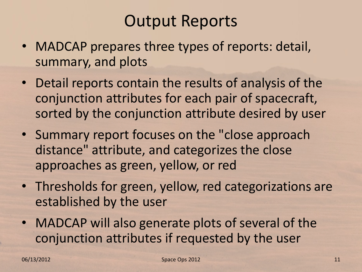# Output Reports

- MADCAP prepares three types of reports: detail, summary, and plots
- Detail reports contain the results of analysis of the conjunction attributes for each pair of spacecraft, sorted by the conjunction attribute desired by user
- Summary report focuses on the "close approach distance" attribute, and categorizes the close approaches as green, yellow, or red
- Thresholds for green, yellow, red categorizations are established by the user
- MADCAP will also generate plots of several of the conjunction attributes if requested by the user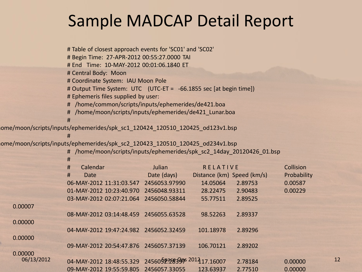### Sample MADCAP Detail Report

|            | # Table of closest approach events for 'SC01' and 'SC02'                     |                            |                            |         |             |    |
|------------|------------------------------------------------------------------------------|----------------------------|----------------------------|---------|-------------|----|
|            | # Begin Time: 27-APR-2012 00:55:27.0000 TAI                                  |                            |                            |         |             |    |
|            | # End Time: 10-MAY-2012 00:01:06.1840 ET                                     |                            |                            |         |             |    |
|            | # Central Body: Moon                                                         |                            |                            |         |             |    |
|            | # Coordinate System: IAU Moon Pole                                           |                            |                            |         |             |    |
|            | # Output Time System: UTC (UTC-ET = -66.1855 sec [at begin time])            |                            |                            |         |             |    |
|            | # Ephemeris files supplied by user:                                          |                            |                            |         |             |    |
|            | # /home/common/scripts/inputs/ephemerides/de421.boa                          |                            |                            |         |             |    |
|            | # /home/moon/scripts/inputs/ephemerides/de421_Lunar.boa                      |                            |                            |         |             |    |
|            | #                                                                            |                            |                            |         |             |    |
|            | ome/moon/scripts/inputs/ephemerides/spk_sc1_120424_120510_120425_od123v1.bsp |                            |                            |         |             |    |
|            | #                                                                            |                            |                            |         |             |    |
|            | ome/moon/scripts/inputs/ephemerides/spk_sc2_120423_120510_120425_od234v1.bsp |                            |                            |         |             |    |
|            | # /home/moon/scripts/inputs/ephemerides/spk_sc2_14day_20120426_01.bsp        |                            |                            |         |             |    |
|            | #                                                                            |                            |                            |         |             |    |
|            | #<br>Calendar                                                                | Julian                     | <b>RELATIVE</b>            |         | Collision   |    |
|            | #<br><b>Date</b>                                                             | Date (days)                | Distance (km) Speed (km/s) |         | Probability |    |
|            | 06-MAY-2012 11:31:03.547 2456053.97990                                       |                            | 14.05064                   | 2.89753 | 0.00587     |    |
|            | 01-MAY-2012 10:23:40.970 2456048.93311                                       |                            | 28.22475                   | 2.90483 | 0.00229     |    |
|            | 03-MAY-2012 02:07:21.064 2456050.58844                                       |                            | 55.77511                   | 2.89525 |             |    |
| 0.00007    |                                                                              |                            |                            |         |             |    |
|            | 08-MAY-2012 03:14:48.459 2456055.63528                                       |                            | 98.52263                   | 2.89337 |             |    |
| 0.00000    |                                                                              |                            |                            |         |             |    |
|            | 04-MAY-2012 19:47:24.982 2456052.32459                                       |                            | 101.18978                  | 2.89296 |             |    |
| 0.00000    |                                                                              |                            |                            |         |             |    |
|            | 09-MAY-2012 20:54:47.876 2456057.37139                                       |                            | 106.70121                  | 2.89202 |             |    |
| 0.00000    |                                                                              |                            |                            |         |             |    |
| 06/13/2012 | 04-MAY-2012 18:48:55.329                                                     | 245605238399 2014 17.16007 |                            | 2.78184 | 0.00000     | 12 |
|            | 09-MAY-2012 19:55:59.805 2456057.33055                                       |                            | 123.63937                  | 2.77510 | 0.00000     |    |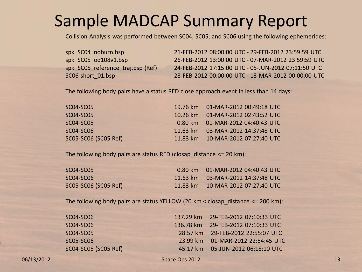### Sample MADCAP Summary Report

Collision Analysis was performed between SC04, SC05, and SC06 using the following ephemerides:

spk\_SC04\_noburn.bsp 21-FEB-2012 08:00:00 UTC - 29-FEB-2012 23:59:59 UTC spk\_SC05\_od108v1.bsp 26-FEB-2012 13:00:00 UTC - 07-MAR-2012 23:59:59 UTC spk SC05 reference traj.bsp (Ref) 24-FEB-2012 17:15:00 UTC - 05-JUN-2012 07:11:50 UTC SC06-short\_01.bsp 28-FEB-2012 00:00:00 UTC - 13-MAR-2012 00:00:00 UTC

The following body pairs have a status RED close approach event in less than 14 days:

| SC04-SC05            | 19.76 km 01-MAR-2012 00:49:18 UTC |
|----------------------|-----------------------------------|
| SCO4-SCO5            | 10.26 km 01-MAR-2012 02:43:52 UTC |
| SC04-SC05            | 0.80 km 01-MAR-2012 04:40:43 UTC  |
| SCO4-SCO6            | 11.63 km 03-MAR-2012 14:37:48 UTC |
| SC05-SC06 (SC05 Ref) | 11.83 km 10-MAR-2012 07:27:40 UTC |

The following body pairs are status RED (closap distance  $\leq$  20 km):

| SCO4-SCO5            | $0.80 \text{ km}$ $01$ -MAR-2012 04:40:43 UTC |
|----------------------|-----------------------------------------------|
| SC04-SC06            | $11.63 \text{ km}$ 03-MAR-2012 14:37:48 UTC   |
| SC05-SC06 (SC05 Ref) | 11.83 km  10-MAR-2012 07:27:40 UTC            |

The following body pairs are status YELLOW (20 km  $<$  closap distance  $<=$  200 km):

| SC04-SC06            | 137.29 km 29-FEB-2012 07:10:33 UTC |
|----------------------|------------------------------------|
| SC04-SC06            | 136.78 km 29-FEB-2012 07:10:33 UTC |
| SC04-SC05            | 28.57 km 29-FEB-2012 22:55:07 UTC  |
| SC05-SC06            | 23.99 km 01-MAR-2012 22:54:45 UTC  |
| SC04-SC05 (SC05 Ref) | 45.17 km 05-JUN-2012 06:18:10 UTC  |
|                      |                                    |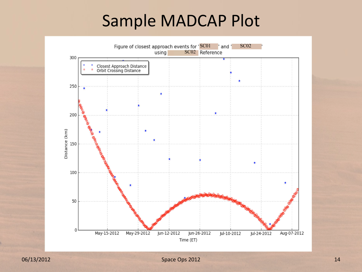### Sample MADCAP Plot

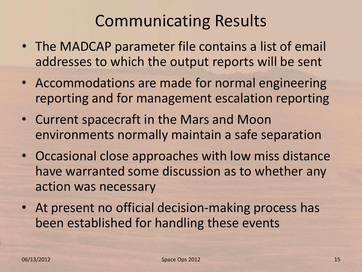# Communicating Results

- The MADCAP parameter file contains a list of email addresses to which the output reports will be sent
- Accommodations are made for normal engineering reporting and for management escalation reporting
- Current spacecraft in the Mars and Moon environments normally maintain a safe separation
- Occasional close approaches with low miss distance have warranted some discussion as to whether any action was necessary
- At present no official decision-making process has been established for handling these events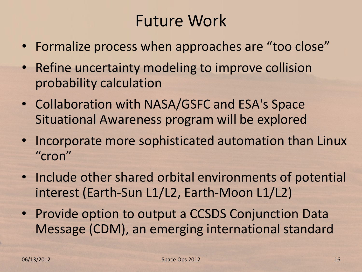# Future Work

- Formalize process when approaches are "too close"
- Refine uncertainty modeling to improve collision probability calculation
- Collaboration with NASA/GSFC and ESA's Space Situational Awareness program will be explored
- Incorporate more sophisticated automation than Linux "cron"
- Include other shared orbital environments of potential interest (Earth-Sun L1/L2, Earth-Moon L1/L2)
- Provide option to output a CCSDS Conjunction Data Message (CDM), an emerging international standard